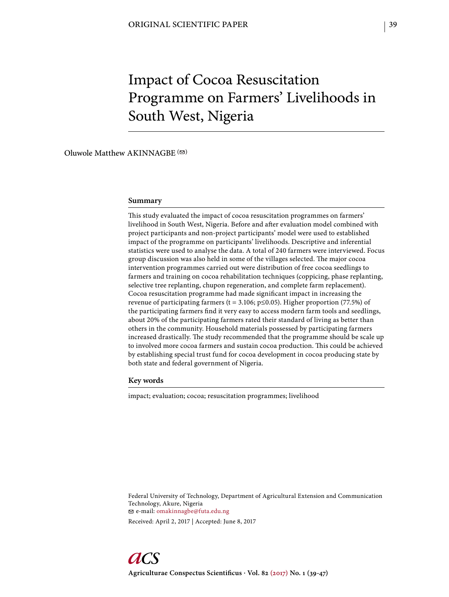# Impact of Cocoa Resuscitation Programme on Farmers' Livelihoods in South West, Nigeria

Oluwole Matthew AKINNAGBE  $( \, \circledcirc \, )$ 

#### **Summary**

This study evaluated the impact of cocoa resuscitation programmes on farmers' livelihood in South West, Nigeria. Before and after evaluation model combined with project participants and non-project participants' model were used to established impact of the programme on participants' livelihoods. Descriptive and inferential statistics were used to analyse the data. A total of 240 farmers were interviewed. Focus group discussion was also held in some of the villages selected. The major cocoa intervention programmes carried out were distribution of free cocoa seedlings to farmers and training on cocoa rehabilitation techniques (coppicing, phase replanting, selective tree replanting, chupon regeneration, and complete farm replacement). Cocoa resuscitation programme had made significant impact in increasing the revenue of participating farmers (t = 3.106; p≤0.05). Higher proportion (77.5%) of the participating farmers find it very easy to access modern farm tools and seedlings, about 20% of the participating farmers rated their standard of living as better than others in the community. Household materials possessed by participating farmers increased drastically. The study recommended that the programme should be scale up to involved more cocoa farmers and sustain cocoa production. This could be achieved by establishing special trust fund for cocoa development in cocoa producing state by both state and federal government of Nigeria.

#### **Key words**

impact; evaluation; cocoa; resuscitation programmes; livelihood

Federal University of Technology, Department of Agricultural Extension and Communication Technology, Akure, Nigeria e-mail: omakinnagbe@futa.edu.ng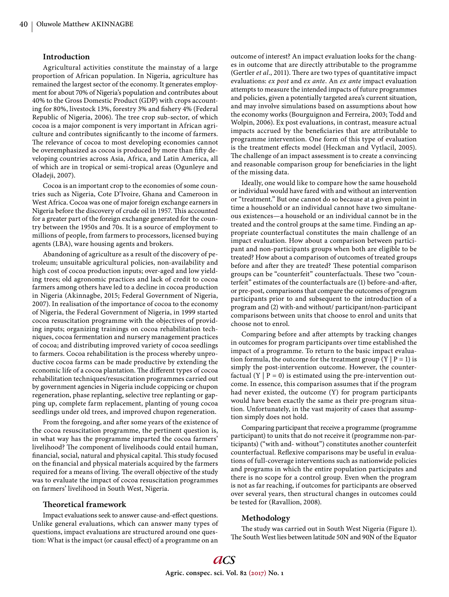## **Introduction**

Agricultural activities constitute the mainstay of a large proportion of African population. In Nigeria, agriculture has remained the largest sector of the economy. It generates employment for about 70% of Nigeria's population and contributes about 40% to the Gross Domestic Product (GDP) with crops accounting for 80%, livestock 13%, forestry 3% and fishery 4% (Federal Republic of Nigeria, 2006). The tree crop sub-sector, of which cocoa is a major component is very important in African agriculture and contributes significantly to the income of farmers. The relevance of cocoa to most developing economies cannot be overemphasized as cocoa is produced by more than fifty developing countries across Asia, Africa, and Latin America, all of which are in tropical or semi-tropical areas (Ogunleye and Oladeji, 2007).

Cocoa is an important crop to the economies of some countries such as Nigeria, Cote D'Ivoire, Ghana and Cameroon in West Africa. Cocoa was one of major foreign exchange earners in Nigeria before the discovery of crude oil in 1957. This accounted for a greater part of the foreign exchange generated for the country between the 1950s and 70s. It is a source of employment to millions of people, from farmers to processors, licensed buying agents (LBA), ware housing agents and brokers.

Abandoning of agriculture as a result of the discovery of petroleum; unsuitable agricultural policies, non-availability and high cost of cocoa production inputs; over-aged and low yielding trees; old agronomic practices and lack of credit to cocoa farmers among others have led to a decline in cocoa production in Nigeria (Akinnagbe, 2015; Federal Government of Nigeria, 2007). In realisation of the importance of cocoa to the economy of Nigeria, the Federal Government of Nigeria, in 1999 started cocoa resuscitation programme with the objectives of providing inputs; organizing trainings on cocoa rehabilitation techniques, cocoa fermentation and nursery management practices of cocoa; and distributing improved variety of cocoa seedlings to farmers. Cocoa rehabilitation is the process whereby unproductive cocoa farms can be made productive by extending the economic life of a cocoa plantation. The different types of cocoa rehabilitation techniques/resuscitation programmes carried out by government agencies in Nigeria include coppicing or chupon regeneration, phase replanting, selective tree replanting or gapping up, complete farm replacement, planting of young cocoa seedlings under old trees, and improved chupon regeneration.

From the foregoing, and after some years of the existence of the cocoa resuscitation programme, the pertinent question is, in what way has the programme imparted the cocoa farmers' livelihood? The component of livelihoods could entail human, financial, social, natural and physical capital. This study focused on the financial and physical materials acquired by the farmers required for a means of living. The overall objective of the study was to evaluate the impact of cocoa resuscitation programmes on farmers' livelihood in South West, Nigeria.

## **Th eoretical framework**

Impact evaluations seek to answer cause-and-effect questions. Unlike general evaluations, which can answer many types of questions, impact evaluations are structured around one question: What is the impact (or causal effect) of a programme on an

outcome of interest? An impact evaluation looks for the changes in outcome that are directly attributable to the programme (Gertler *et al.*, 2011). There are two types of quantitative impact evaluations: *ex post* and *ex ante*. An *ex ante* impact evaluation attempts to measure the intended impacts of future programmes and policies, given a potentially targeted area's current situation, and may involve simulations based on assumptions about how the economy works (Bourguignon and Ferreira, 2003; Todd and Wolpin, 2006). Ex post evaluations, in contrast, measure actual impacts accrued by the beneficiaries that are attributable to programme intervention. One form of this type of evaluation is the treatment effects model (Heckman and Vytlacil, 2005). The challenge of an impact assessment is to create a convincing and reasonable comparison group for beneficiaries in the light of the missing data.

Ideally, one would like to compare how the same household or individual would have fared with and without an intervention or "treatment." But one cannot do so because at a given point in time a household or an individual cannot have two simultaneous existences—a household or an individual cannot be in the treated and the control groups at the same time. Finding an appropriate counterfactual constitutes the main challenge of an impact evaluation. How about a comparison between participant and non-participants groups when both are eligible to be treated? How about a comparison of outcomes of treated groups before and after they are treated? These potential comparison groups can be "counterfeit" counterfactuals. These two "counterfeit" estimates of the counterfactuals are (1) before-and-after, or pre-post, comparisons that compare the outcomes of program participants prior to and subsequent to the introduction of a program and (2) with-and without/ participant/non-participant comparisons between units that choose to enrol and units that choose not to enrol.

Comparing before and after attempts by tracking changes in outcomes for program participants over time established the impact of a programme. To return to the basic impact evaluation formula, the outcome for the treatment group  $(Y | P = 1)$  is simply the post-intervention outcome. However, the counterfactual  $(Y | P = 0)$  is estimated using the pre-intervention outcome. In essence, this comparison assumes that if the program had never existed, the outcome (Y) for program participants would have been exactly the same as their pre-program situation. Unfortunately, in the vast majority of cases that assumption simply does not hold.

Comparing participant that receive a programme (programme participant) to units that do not receive it (programme non-participants) ("with and- without") constitutes another counterfeit counterfactual. Reflexive comparisons may be useful in evaluations of full-coverage interventions such as nationwide policies and programs in which the entire population participates and there is no scope for a control group. Even when the program is not as far reaching, if outcomes for participants are observed over several years, then structural changes in outcomes could be tested for (Ravallion, 2008).

## **Methodology**

The study was carried out in South West Nigeria (Figure 1). The South West lies between latitude 50N and 90N of the Equator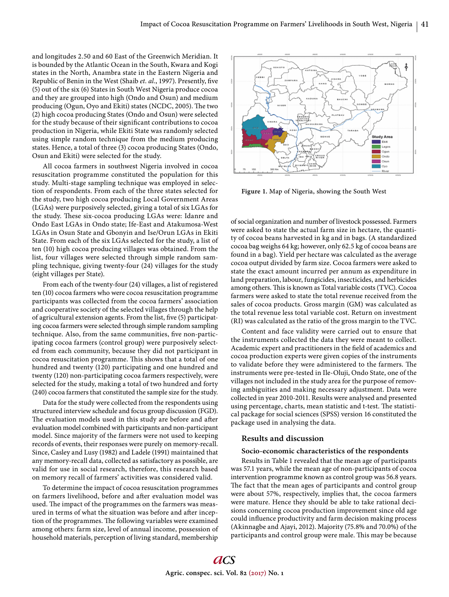and longitudes 2.50 and 60 East of the Greenwich Meridian. It is bounded by the Atlantic Ocean in the South, Kwara and Kogi states in the North, Anambra state in the Eastern Nigeria and Republic of Benin in the West (Shaib *et. al.*, 1997). Presently, five (5) out of the six (6) States in South West Nigeria produce cocoa and they are grouped into high (Ondo and Osun) and medium producing (Ogun, Oyo and Ekiti) states (NCDC, 2005). The two (2) high cocoa producing States (Ondo and Osun) were selected for the study because of their significant contributions to cocoa production in Nigeria, while Ekiti State was randomly selected using simple random technique from the medium producing states. Hence, a total of three (3) cocoa producing States (Ondo, Osun and Ekiti) were selected for the study.

All cocoa farmers in southwest Nigeria involved in cocoa resuscitation programme constituted the population for this study. Multi-stage sampling technique was employed in selection of respondents. From each of the three states selected for the study, two high cocoa producing Local Government Areas (LGAs) were purposively selected, giving a total of six LGAs for the study. These six-cocoa producing LGAs were: Idanre and Ondo East LGAs in Ondo state; Ife-East and Atakumosa-West LGAs in Osun State and Gbonyin and Ise/Orun LGAs in Ekiti State. From each of the six LGAs selected for the study, a list of ten (10) high cocoa producing villages was obtained. From the list, four villages were selected through simple random sampling technique, giving twenty-four (24) villages for the study (eight villages per State).

From each of the twenty-four (24) villages, a list of registered ten (10) cocoa farmers who were cocoa resuscitation programme participants was collected from the cocoa farmers' association and cooperative society of the selected villages through the help of agricultural extension agents. From the list, five (5) participating cocoa farmers were selected through simple random sampling technique. Also, from the same communities, five non-participating cocoa farmers (control group) were purposively selected from each community, because they did not participant in cocoa resuscitation programme. This shows that a total of one hundred and twenty (120) participating and one hundred and twenty (120) non-participating cocoa farmers respectively, were selected for the study, making a total of two hundred and forty (240) cocoa farmers that constituted the sample size for the study.

Data for the study were collected from the respondents using structured interview schedule and focus group discussion (FGD). The evaluation models used in this study are before and after evaluation model combined with participants and non-participant model. Since majority of the farmers were not used to keeping records of events, their responses were purely on memory-recall. Since, Casley and Lusy (1982) and Ladele (1991) maintained that any memory-recall data, collected as satisfactory as possible, are valid for use in social research, therefore, this research based on memory recall of farmers' activities was considered valid.

To determine the impact of cocoa resuscitation programmes on farmers livelihood, before and after evaluation model was used. The impact of the programmes on the farmers was measured in terms of what the situation was before and after inception of the programmes. The following variables were examined among others: farm size, level of annual income, possession of household materials, perception of living standard, membership



**Figure 1.** Map of Nigeria, showing the South West

of social organization and number of livestock possessed. Farmers were asked to state the actual farm size in hectare, the quantity of cocoa beans harvested in kg and in bags. (A standardized cocoa bag weighs 64 kg; however, only 62.5 kg of cocoa beans are found in a bag). Yield per hectare was calculated as the average cocoa output divided by farm size. Cocoa farmers were asked to state the exact amount incurred per annum as expenditure in land preparation, labour, fungicides, insecticides, and herbicides among others. This is known as Total variable costs (TVC). Cocoa farmers were asked to state the total revenue received from the sales of cocoa products. Gross margin (GM) was calculated as the total revenue less total variable cost. Return on investment (RI) was calculated as the ratio of the gross margin to the TVC.

Content and face validity were carried out to ensure that the instruments collected the data they were meant to collect. Academic expert and practitioners in the field of academics and cocoa production experts were given copies of the instruments to validate before they were administered to the farmers. The instruments were pre-tested in Ile-Oluji, Ondo State, one of the villages not included in the study area for the purpose of removing ambiguities and making necessary adjustment. Data were collected in year 2010-2011. Results were analysed and presented using percentage, charts, mean statistic and t-test. The statistical package for social sciences (SPSS) version 16 constituted the package used in analysing the data.

## **Results and discussion**

#### **Socio-economic characteristics of the respondents**

Results in Table 1 revealed that the mean age of participants was 57.1 years, while the mean age of non-participants of cocoa intervention programme known as control group was 56.8 years. The fact that the mean ages of participants and control group were about 57%, respectively, implies that, the cocoa farmers were mature. Hence they should be able to take rational decisions concerning cocoa production improvement since old age could influence productivity and farm decision making process (Akinnagbe and Ajayi, 2012). Majority (75.8% and 70.0%) of the participants and control group were male. This may be because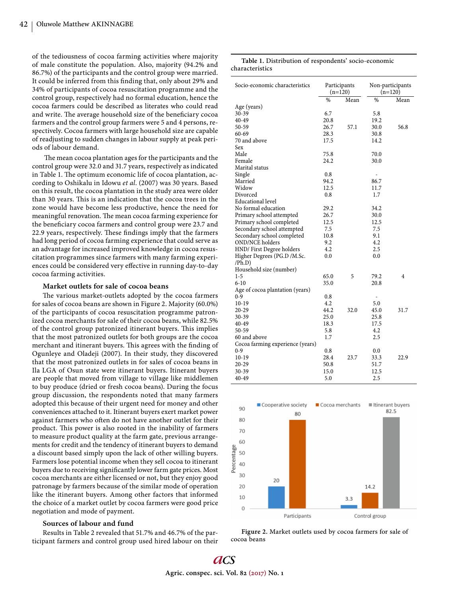of the tediousness of cocoa farming activities where majority of male constitute the population. Also, majority (94.2% and 86.7%) of the participants and the control group were married. It could be inferred from this finding that, only about 29% and 34% of participants of cocoa resuscitation programme and the control group, respectively had no formal education, hence the cocoa farmers could be described as literates who could read and write. The average household size of the beneficiary cocoa farmers and the control group farmers were 5 and 4 persons, respectively. Cocoa farmers with large household size are capable of readjusting to sudden changes in labour supply at peak periods of labour demand.

The mean cocoa plantation ages for the participants and the control group were 32.0 and 31.7 years, respectively as indicated in Table 1. The optimum economic life of cocoa plantation, according to Oshikalu in Idowu *et al*. (2007) was 30 years. Based on this result, the cocoa plantation in the study area were older than 30 years. This is an indication that the cocoa trees in the zone would have become less productive, hence the need for meaningful renovation. The mean cocoa farming experience for the beneficiary cocoa farmers and control group were 23.7 and 22.9 years, respectively. These findings imply that the farmers had long period of cocoa farming experience that could serve as an advantage for increased improved knowledge in cocoa resuscitation programmes since farmers with many farming experiences could be considered very effective in running day-to-day cocoa farming activities.

## **Market outlets for sale of cocoa beans**

The various market-outlets adopted by the cocoa farmers for sales of cocoa beans are shown in Figure 2. Majority (60.0%) of the participants of cocoa resuscitation programme patronized cocoa merchants for sale of their cocoa beans, while 82.5% of the control group patronized itinerant buyers. This implies that the most patronized outlets for both groups are the cocoa merchant and itinerant buyers. This agrees with the finding of Ogunleye and Oladeji (2007). In their study, they discovered that the most patronized outlets in for sales of cocoa beans in Ila LGA of Osun state were itinerant buyers. Itinerant buyers are people that moved from village to village like middlemen to buy produce (dried or fresh cocoa beans). During the focus group discussion, the respondents noted that many farmers adopted this because of their urgent need for money and other conveniences attached to it. Itinerant buyers exert market power against farmers who often do not have another outlet for their product. This power is also rooted in the inability of farmers to measure product quality at the farm gate, previous arrangements for credit and the tendency of itinerant buyers to demand a discount based simply upon the lack of other willing buyers. Farmers lose potential income when they sell cocoa to itinerant buyers due to receiving significantly lower farm gate prices. Most cocoa merchants are either licensed or not, but they enjoy good patronage by farmers because of the similar mode of operation like the itinerant buyers. Among other factors that informed the choice of a market outlet by cocoa farmers were good price negotiation and mode of payment.

## **Sources of labour and fund**

Results in Table 2 revealed that 51.7% and 46.7% of the participant farmers and control group used hired labour on their

| Socio-economic characteristics        | Participants<br>$(n=120)$ |      | Non-participants<br>$(n=120)$ |      |
|---------------------------------------|---------------------------|------|-------------------------------|------|
|                                       | $\%$                      | Mean | $\%$                          | Mean |
| Age (years)                           |                           |      |                               |      |
| $30 - 39$                             | 6.7                       |      | 5.8                           |      |
| 40-49                                 | 20.8                      |      | 19.2                          |      |
| 50-59                                 | 26.7                      | 57.1 | 30.0                          | 56.8 |
| $60 - 69$                             | 28.3                      |      | 30.8                          |      |
| 70 and above                          | 17.5                      |      | 14.2                          |      |
| Sex                                   |                           |      |                               |      |
| Male                                  | 75.8                      |      | 70.0                          |      |
| Female                                | 24.2                      |      | 30.0                          |      |
| Marital status                        |                           |      |                               |      |
| Single                                | 0.8                       |      | ٠                             |      |
| Married                               | 94.2                      |      | 86.7                          |      |
| Widow                                 | 12.5                      |      | 11.7                          |      |
| Divorced                              | 0.8                       |      | 1.7                           |      |
| <b>Educational level</b>              |                           |      |                               |      |
| No formal education                   | 29.2                      |      | 34.2                          |      |
| Primary school attempted              | 26.7                      |      | 30.0                          |      |
| Primary school completed              | 12.5                      |      | 12.5                          |      |
| Secondary school attempted            | 7.5                       |      | 7.5                           |      |
| Secondary school completed            | 10.8                      |      | 9.1                           |      |
| <b>OND/NCE</b> holders                | 9.2                       |      | 4.2                           |      |
| HND/ First Degree holders             | 4.2                       |      | 2.5                           |      |
| Higher Degrees (PG.D /M.Sc.<br>(Ph.D) | 0.0                       |      | 0.0                           |      |
| Household size (number)               |                           |      |                               |      |
| 1-5                                   | 65.0                      | 5    | 79.2                          | 4    |
| $6-10$                                | 35.0                      |      | 20.8                          |      |
| Age of cocoa plantation (years)       |                           |      |                               |      |
| $0-9$                                 | 0.8                       |      | $\overline{\phantom{0}}$      |      |
| $10-19$                               | 4.2                       |      | 5.0                           |      |
| $20 - 29$                             | 44.2                      | 32.0 | 45.0                          | 31.7 |
| $30 - 39$                             | 25.0                      |      | 25.8                          |      |
| 40-49                                 | 18.3                      |      | 17.5                          |      |
| $50-59$                               | 5.8                       |      | 4.2                           |      |
| 60 and above                          | 1.7                       |      | 2.5                           |      |
| Cocoa farming experience (years)      |                           |      |                               |      |
| 0-9                                   | 0.8                       |      | 0.0                           |      |
| $10-19$                               | 28.4                      | 23.7 | 33.3                          | 22.9 |
| $20 - 29$                             | 50.8                      |      | 51.7                          |      |
| 30-39                                 | 15.0                      |      | 12.5                          |      |
| 40-49                                 | 5.0                       |      | 2.5                           |      |

**Table 1.** Distribution of respondents' socio-economic

characteristics



**Figure 2.** Market outlets used by cocoa farmers for sale of cocoa beans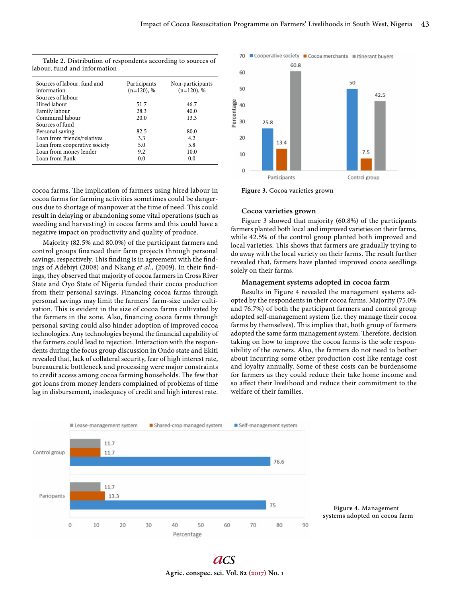| Sources of labour, fund and   | Participants  | Non-participants |
|-------------------------------|---------------|------------------|
| information                   | $(n=120)$ , % | $(n=120)$ , %    |
| Sources of labour             |               |                  |
| Hired labour                  | 51.7          | 46.7             |
| Family labour                 | 28.3          | 40.0             |
| Communal labour               | 20.0          | 13.3             |
| Sources of fund               |               |                  |
| Personal saving               | 82.5          | 80.0             |
| Loan from friends/relatives   | 3.3           | 4.2              |
| Loan from cooperative society | 5.0           | 5.8              |
| Loan from money lender        | 9.2           | 10.0             |
| Loan from Bank                | 0.0           | 0.0              |

**Table 2.** Distribution of respondents according to sources of

cocoa farms. The implication of farmers using hired labour in cocoa farms for farming activities sometimes could be dangerous due to shortage of manpower at the time of need. This could result in delaying or abandoning some vital operations (such as weeding and harvesting) in cocoa farms and this could have a negative impact on productivity and quality of produce.

Majority (82.5% and 80.0%) of the participant farmers and control groups financed their farm projects through personal savings, respectively. This finding is in agreement with the findings of Adebiyi (2008) and Nkang et al., (2009). In their findings, they observed that majority of cocoa farmers in Cross River State and Oyo State of Nigeria funded their cocoa production from their personal savings. Financing cocoa farms through personal savings may limit the farmers' farm-size under cultivation. This is evident in the size of cocoa farms cultivated by the farmers in the zone. Also, financing cocoa farms through personal saving could also hinder adoption of improved cocoa technologies. Any technologies beyond the financial capability of the farmers could lead to rejection. Interaction with the respondents during the focus group discussion in Ondo state and Ekiti revealed that, lack of collateral security, fear of high interest rate, bureaucratic bottleneck and processing were major constraints to credit access among cocoa farming households. The few that got loans from money lenders complained of problems of time lag in disbursement, inadequacy of credit and high interest rate.



**Figure 3.** Cocoa varieties grown

## **Cocoa varieties grown**

Figure 3 showed that majority (60.8%) of the participants farmers planted both local and improved varieties on their farms, while 42.5% of the control group planted both improved and local varieties. This shows that farmers are gradually trying to do away with the local variety on their farms. The result further revealed that, farmers have planted improved cocoa seedlings solely on their farms.

## **Management systems adopted in cocoa farm**

Results in Figure 4 revealed the management systems adopted by the respondents in their cocoa farms. Majority (75.0% and 76.7%) of both the participant farmers and control group adopted self-management system (i.e. they manage their cocoa farms by themselves). This implies that, both group of farmers adopted the same farm management system. Therefore, decision taking on how to improve the cocoa farms is the sole responsibility of the owners. Also, the farmers do not need to bother about incurring some other production cost like rentage cost and loyalty annually. Some of these costs can be burdensome for farmers as they could reduce their take home income and so affect their livelihood and reduce their commitment to the welfare of their families.



**Figure 4.** Management systems adopted on cocoa farm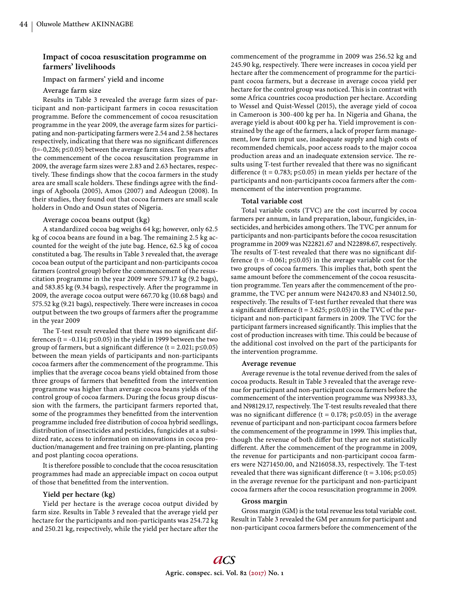## **Impact of cocoa resuscitation programme on farmers' livelihoods**

Impact on farmers' yield and income

## Average farm size

Results in Table 3 revealed the average farm sizes of participant and non-participant farmers in cocoa resuscitation programme. Before the commencement of cocoa resuscitation programme in the year 2009, the average farm sizes for participating and non-participating farmers were 2.54 and 2.58 hectares respectively, indicating that there was no significant differences ( $t=-0,226$ ;  $p \le 0.05$ ) between the average farm sizes. Ten years after the commencement of the cocoa resuscitation programme in 2009, the average farm sizes were 2.83 and 2.63 hectares, respectively. These findings show that the cocoa farmers in the study area are small scale holders. These findings agree with the findings of Agboola (2005), Amos (2007) and Adeogun (2008). In their studies, they found out that cocoa farmers are small scale holders in Ondo and Osun states of Nigeria.

## Average cocoa beans output (kg)

A standardized cocoa bag weighs 64 kg; however, only 62.5 kg of cocoa beans are found in a bag. The remaining 2.5 kg accounted for the weight of the jute bag. Hence, 62.5 kg of cocoa constituted a bag. The results in Table 3 revealed that, the average cocoa bean output of the participant and non-participants cocoa farmers (control group) before the commencement of the resuscitation programme in the year 2009 were 579.17 kg (9.2 bags), and 583.85 kg (9.34 bags), respectively. After the programme in 2009, the average cocoa output were 667.70 kg (10.68 bags) and 575.52 kg (9.21 bags), respectively. There were increases in cocoa output between the two groups of farmers after the programme in the year 2009

The T-test result revealed that there was no significant differences (t = -0.114;  $p \le 0.05$ ) in the yield in 1999 between the two group of farmers, but a significant difference (t = 2.021;  $p \le 0.05$ ) between the mean yields of participants and non-participants cocoa farmers after the commencement of the programme. This implies that the average cocoa beans yield obtained from those three groups of farmers that benefitted from the intervention programme was higher than average cocoa beans yields of the control group of cocoa farmers. During the focus group discussion with the farmers, the participant farmers reported that, some of the programmes they benefitted from the intervention programme included free distribution of cocoa hybrid seedlings, distribution of insecticides and pesticides, fungicides at a subsidized rate, access to information on innovations in cocoa production/management and free training on pre-planting, planting and post planting cocoa operations.

It is therefore possible to conclude that the cocoa resuscitation programmes had made an appreciable impact on cocoa output of those that benefitted from the intervention.

#### **Yield per hectare (kg)**

Yield per hectare is the average cocoa output divided by farm size. Results in Table 3 revealed that the average yield per hectare for the participants and non-participants was 254.72 kg and 250.21 kg, respectively, while the yield per hectare after the

commencement of the programme in 2009 was 256.52 kg and 245.90 kg, respectively. There were increases in cocoa yield per hectare after the commencement of programme for the participant cocoa farmers, but a decrease in average cocoa yield per hectare for the control group was noticed. This is in contrast with some Africa countries cocoa production per hectare. According to Wessel and Quist-Wessel (2015), the average yield of cocoa in Cameroon is 300-400 kg per ha. In Nigeria and Ghana, the average yield is about 400 kg per ha. Yield improvement is constrained by the age of the farmers, a lack of proper farm management, low farm input use, inadequate supply and high costs of recommended chemicals, poor access roads to the major cocoa production areas and an inadequate extension service. The results using T-test further revealed that there was no significant difference (t = 0.783;  $p \le 0.05$ ) in mean yields per hectare of the participants and non-participants cocoa farmers after the commencement of the intervention programme.

## **Total variable cost**

Total variable costs (TVC) are the cost incurred by cocoa farmers per annum, in land preparation, labour, fungicides, insecticides, and herbicides among others. The TVC per annum for participants and non-participants before the cocoa resuscitation programme in 2009 was N22821.67 and N22898.67, respectively. The results of T-test revealed that there was no significant difference (t =  $-0.061$ ; p $\leq 0.05$ ) in the average variable cost for the two groups of cocoa farmers. This implies that, both spent the same amount before the commencement of the cocoa resuscitation programme. Ten years after the commencement of the programme, the TVC per annum were N42470.83 and N34012.50, respectively. The results of T-test further revealed that there was a significant difference (t = 3.625; p  $\leq$  0.05) in the TVC of the participant and non-participant farmers in 2009. The TVC for the participant farmers increased significantly. This implies that the cost of production increases with time. This could be because of the additional cost involved on the part of the participants for the intervention programme.

#### **Average revenue**

Average revenue is the total revenue derived from the sales of cocoa products. Result in Table 3 revealed that the average revenue for participant and non-participant cocoa farmers before the commencement of the intervention programme was N99383.33, and N98129.17, respectively. The T-test results revealed that there was no significant difference (t = 0.178; p  $\leq$  0.05) in the average revenue of participant and non-participant cocoa farmers before the commencement of the programme in 1999. This implies that, though the revenue of both differ but they are not statistically different. After the commencement of the programme in 2009, the revenue for participants and non-participant cocoa farmers were N271450.00, and N216058.33, respectively. The T-test revealed that there was significant difference (t = 3.106; p $\leq$ 0.05) in the average revenue for the participant and non-participant cocoa farmers after the cocoa resuscitation programme in 2009.

## **Gross margin**

Gross margin (GM) is the total revenue less total variable cost. Result in Table 3 revealed the GM per annum for participant and non-participant cocoa farmers before the commencement of the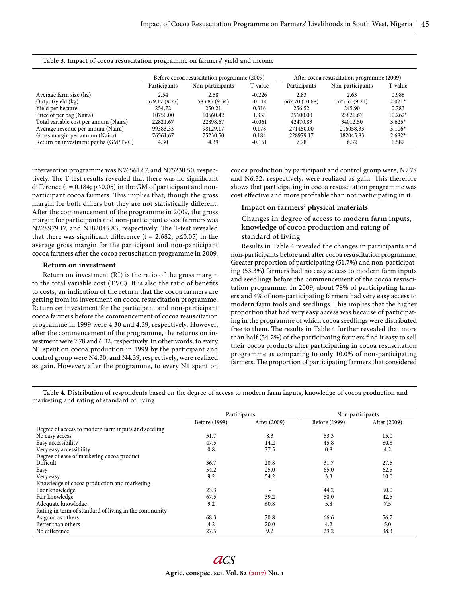|                                       | Before cocoa resuscitation programme (2009) |                  |          | After cocoa resuscitation programme (2009) |                  |           |
|---------------------------------------|---------------------------------------------|------------------|----------|--------------------------------------------|------------------|-----------|
|                                       | Participants                                | Non-participants | T-value  | Participants                               | Non-participants | T-value   |
| Average farm size (ha)                | 2.54                                        | 2.58             | $-0.226$ | 2.83                                       | 2.63             | 0.986     |
| Output/yield (kg)                     | 579.17 (9.27)                               | 583.85 (9.34)    | $-0.114$ | 667.70 (10.68)                             | 575.52 (9.21)    | $2.021*$  |
| Yield per hectare                     | 254.72                                      | 250.21           | 0.316    | 256.52                                     | 245.90           | 0.783     |
| Price of per bag (Naira)              | 10750.00                                    | 10560.42         | 1.358    | 25600.00                                   | 23821.67         | $10.262*$ |
| Total variable cost per annum (Naira) | 22821.67                                    | 22898.67         | $-0.061$ | 42470.83                                   | 34012.50         | $3.625*$  |
| Average revenue per annum (Naira)     | 99383.33                                    | 98129.17         | 0.178    | 271450.00                                  | 216058.33        | $3.106*$  |
| Gross margin per annum (Naira)        | 76561.67                                    | 75230.50         | 0.184    | 228979.17                                  | 182045.83        | $2.682*$  |
| Return on investment per ha (GM/TVC)  | 4.30                                        | 4.39             | $-0.151$ | 7.78                                       | 6.32             | 1.587     |

**Table 3.** Impact of cocoa resuscitation programme on farmers' yield and income

intervention programme was N76561.67, and N75230.50, respectively. The T-test results revealed that there was no significant difference (t = 0.184;  $p \le 0.05$ ) in the GM of participant and nonparticipant cocoa farmers. This implies that, though the gross margin for both differs but they are not statistically different. After the commencement of the programme in 2009, the gross margin for participants and non-participant cocoa farmers was N228979.17, and N182045.83, respectively. The T-test revealed that there was significant difference (t = 2.682; p ≤0.05) in the average gross margin for the participant and non-participant cocoa farmers after the cocoa resuscitation programme in 2009.

## **Return on investment**

Return on investment (RI) is the ratio of the gross margin to the total variable cost (TVC). It is also the ratio of benefits to costs, an indication of the return that the cocoa farmers are getting from its investment on cocoa resuscitation programme. Return on investment for the participant and non-participant cocoa farmers before the commencement of cocoa resuscitation programme in 1999 were 4.30 and 4.39, respectively. However, after the commencement of the programme, the returns on investment were 7.78 and 6.32, respectively. In other words, to every N1 spent on cocoa production in 1999 by the participant and control group were N4.30, and N4.39, respectively, were realized as gain. However, after the programme, to every N1 spent on cocoa production by participant and control group were, N7.78 and N6.32, respectively, were realized as gain. This therefore shows that participating in cocoa resuscitation programme was cost effective and more profitable than not participating in it.

## **Impact on farmers' physical materials**

Changes in degree of access to modern farm inputs, knowledge of cocoa production and rating of standard of living

Results in Table 4 revealed the changes in participants and non-participants before and after cocoa resuscitation programme. Greater proportion of participating (51.7%) and non-participating (53.3%) farmers had no easy access to modern farm inputs and seedlings before the commencement of the cocoa resuscitation programme. In 2009, about 78% of participating farmers and 4% of non-participating farmers had very easy access to modern farm tools and seedlings. This implies that the higher proportion that had very easy access was because of participating in the programme of which cocoa seedlings were distributed free to them. The results in Table 4 further revealed that more than half (54.2%) of the participating farmers find it easy to sell their cocoa products after participating in cocoa resuscitation programme as comparing to only 10.0% of non-participating farmers. The proportion of participating farmers that considered

**Table 4.** Distribution of respondents based on the degree of access to modern farm inputs, knowledge of cocoa production and marketing and rating of standard of living

|                                                       | Participants  |              | Non-participants |              |
|-------------------------------------------------------|---------------|--------------|------------------|--------------|
|                                                       | Before (1999) | After (2009) | Before (1999)    | After (2009) |
| Degree of access to modern farm inputs and seedling   |               |              |                  |              |
| No easy access                                        | 51.7          | 8.3          | 53.3             | 15.0         |
| Easy accessibility                                    | 47.5          | 14.2         | 45.8             | 80.8         |
| Very easy accessibility                               | 0.8           | 77.5         | 0.8              | 4.2          |
| Degree of ease of marketing cocoa product             |               |              |                  |              |
| Difficult                                             | 36.7          | 20.8         | 31.7             | 27.5         |
| Easy                                                  | 54.2          | 25.0         | 65.0             | 62.5         |
| Very easy                                             | 9.2           | 54.2         | 3.3              | 10.0         |
| Knowledge of cocoa production and marketing           |               |              |                  |              |
| Poor knowledge                                        | 23.3          | ٠            | 44.2             | 50.0         |
| Fair knowledge                                        | 67.5          | 39.2         | 50.0             | 42.5         |
| Adequate knowledge                                    | 9.2           | 60.8         | 5.8              | 7.5          |
| Rating in term of standard of living in the community |               |              |                  |              |
| As good as others                                     | 68.3          | 70.8         | 66.6             | 56.7         |
| Better than others                                    | 4.2           | 20.0         | 4.2              | 5.0          |
| No difference                                         | 27.5          | 9.2          | 29.2             | 38.3         |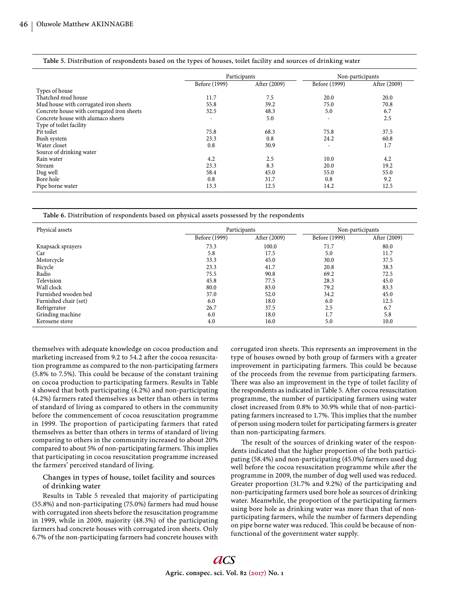| Table 5. Distribution of respondents based on the types of houses, toilet facility and sources of drinking water |  |
|------------------------------------------------------------------------------------------------------------------|--|
|------------------------------------------------------------------------------------------------------------------|--|

|                                            | Participants  |              | Non-participants |              |
|--------------------------------------------|---------------|--------------|------------------|--------------|
|                                            | Before (1999) | After (2009) | Before (1999)    | After (2009) |
| Types of house                             |               |              |                  |              |
| Thatched mud house                         | 11.7          | 7.5          | 20.0             | 20.0         |
| Mud house with corrugated iron sheets      | 55.8          | 39.2         | 75.0             | 70.8         |
| Concrete house with corrugated iron sheets | 32.5          | 48.3         | 5.0              | 6.7          |
| Concrete house with alumaco sheets         | ٠             | 5.0          | ٠                | 2.5          |
| Type of toilet facility                    |               |              |                  |              |
| Pit toilet                                 | 75.8          | 68.3         | 75.8             | 37.5         |
| Bush system                                | 23.3          | 0.8          | 24.2             | 60.8         |
| Water closet                               | 0.8           | 30.9         | ٠                | 1.7          |
| Source of drinking water                   |               |              |                  |              |
| Rain water                                 | 4.2           | 2.5          | 10.0             | 4.2          |
| Stream                                     | 23.3          | 8.3          | 20.0             | 19.2         |
| Dug well                                   | 58.4          | 45.0         | 55.0             | 55.0         |
| Bore hole                                  | 0.8           | 31.7         | 0.8              | 9.2          |
| Pipe borne water                           | 13.3          | 12.5         | 14.2             | 12.5         |

**Table 6.** Distribution of respondents based on physical assets possessed by the respondents

| Physical assets       | Participants  |              | Non-participants |              |
|-----------------------|---------------|--------------|------------------|--------------|
|                       | Before (1999) | After (2009) | Before (1999)    | After (2009) |
| Knapsack sprayers     | 73.3          | 100.0        | 71.7             | 80.0         |
| Car                   | 5.8           | 17.5         | 5.0              | 11.7         |
| Motorcycle            | 33.3          | 45.0         | 30.0             | 37.5         |
| Bicycle               | 23.3          | 41.7         | 20.8             | 38.3         |
| Radio                 | 75.5          | 90.8         | 69.2             | 72.5         |
| Television            | 45.8          | 77.5         | 28.3             | 45.0         |
| Wall clock            | 80.0          | 83.0         | 79.2             | 83.3         |
| Furnished wooden bed  | 37.0          | 52.0         | 34.2             | 45.0         |
| Furnished chair (set) | 6.0           | 18.0         | 6.0              | 12.5         |
| Refrigerator          | 26.7          | 37.5         | 2.5              | 6.7          |
| Grinding machine      | 6.0           | 18.0         | 1.7              | 5.8          |
| Kerosene stove        | 4.0           | 16.0         | 5.0              | 10.0         |

themselves with adequate knowledge on cocoa production and marketing increased from 9.2 to 54.2 after the cocoa resuscitation programme as compared to the non-participating farmers  $(5.8\% \text{ to } 7.5\%).$  This could be because of the constant training on cocoa production to participating farmers. Results in Table 4 showed that both participating (4.2%) and non-participating (4.2%) farmers rated themselves as better than others in terms of standard of living as compared to others in the community before the commencement of cocoa resuscitation programme in 1999. The proportion of participating farmers that rated themselves as better than others in terms of standard of living comparing to others in the community increased to about 20% compared to about 5% of non-participating farmers. This implies that participating in cocoa resuscitation programme increased the farmers' perceived standard of living.

## Changes in types of house, toilet facility and sources of drinking water

Results in Table 5 revealed that majority of participating (55.8%) and non-participating (75.0%) farmers had mud house with corrugated iron sheets before the resuscitation programme in 1999, while in 2009, majority (48.3%) of the participating farmers had concrete houses with corrugated iron sheets. Only 6.7% of the non-participating farmers had concrete houses with corrugated iron sheets. This represents an improvement in the type of houses owned by both group of farmers with a greater improvement in participating farmers. This could be because of the proceeds from the revenue from participating farmers. There was also an improvement in the type of toilet facility of the respondents as indicated in Table 5. After cocoa resuscitation programme, the number of participating farmers using water closet increased from 0.8% to 30.9% while that of non-participating farmers increased to 1.7%. This implies that the number of person using modern toilet for participating farmers is greater than non-participating farmers.

The result of the sources of drinking water of the respondents indicated that the higher proportion of the both participating (58.4%) and non-participating (45.0%) farmers used dug well before the cocoa resuscitation programme while after the programme in 2009, the number of dug well used was reduced. Greater proportion (31.7% and 9.2%) of the participating and non-participating farmers used bore hole as sources of drinking water. Meanwhile, the proportion of the participating farmers using bore hole as drinking water was more than that of nonparticipating farmers, while the number of farmers depending on pipe borne water was reduced. This could be because of nonfunctional of the government water supply.